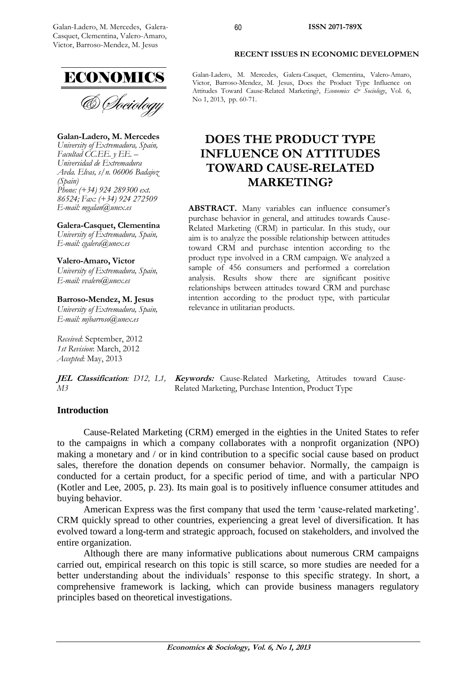

& Sociology

**Galan-Ladero, M. Mercedes** *University of Extremadura, Spain, Facultad CC.EE. y EE. – Universidad de Extremadura Avda. Elvas, s/n. 06006 Badajoz (Spain) Phone: (+34) 924 289300 ext. 86524; Fax: (+34) 924 272509 E-mail: [mgalan@unex.es](mailto:mgalan@unex.es)*

**Galera-Casquet, Clementina** *University of Extremadura, Spain, E-mail: cgalera@unex.es*

**Valero-Amaro, Victor** *University of Extremadura, Spain, E-mail: [vvalero@unex.es](mailto:vvalero@unex.es)*

**Barroso-Mendez, M. Jesus** *University of Extremadura, Spain, E-mail: mjbarroso@unex.es*

*Received*: September, 2012 *1st Revision*: March, 2012 *Accepted*: May, 2013

*M3*

JEL Classification: D12, L1, Keywords: Cause-Related Marketing, Attitudes toward Cause-Related Marketing, Purchase Intention, Product Type

## **Introduction**

Cause-Related Marketing (CRM) emerged in the eighties in the United States to refer to the campaigns in which a company collaborates with a nonprofit organization (NPO) making a monetary and / or in kind contribution to a specific social cause based on product sales, therefore the donation depends on consumer behavior. Normally, the campaign is conducted for a certain product, for a specific period of time, and with a particular NPO (Kotler and Lee, 2005, p. 23). Its main goal is to positively influence consumer attitudes and buying behavior.

American Express was the first company that used the term "cause-related marketing". CRM quickly spread to other countries, experiencing a great level of diversification. It has evolved toward a long-term and strategic approach, focused on stakeholders, and involved the entire organization.

Although there are many informative publications about numerous CRM campaigns carried out, empirical research on this topic is still scarce, so more studies are needed for a better understanding about the individuals' response to this specific strategy. In short, a comprehensive framework is lacking, which can provide business managers regulatory principles based on theoretical investigations.

#### **RECENT ISSUES IN ECONOMIC DEVELOPMEN**

Galan-Ladero, M. Mercedes, Galera-Casquet, Clementina, Valero-Amaro, Victor, Barroso-Mendez, M. Jesus, Does the Product Type Influence on Attitudes Toward Cause-Related Marketing?, *Economics & Sociology*, Vol. 6, No 1, 2013, pp. 60-71.

60

# **DOES THE PRODUCT TYPE INFLUENCE ON ATTITUDES TOWARD CAUSE-RELATED MARKETING?**

**ABSTRACT.** Many variables can influence consumer's purchase behavior in general, and attitudes towards Cause-Related Marketing (CRM) in particular. In this study, our aim is to analyze the possible relationship between attitudes toward CRM and purchase intention according to the product type involved in a CRM campaign. We analyzed a sample of 456 consumers and performed a correlation analysis. Results show there are significant positive relationships between attitudes toward CRM and purchase intention according to the product type, with particular relevance in utilitarian products.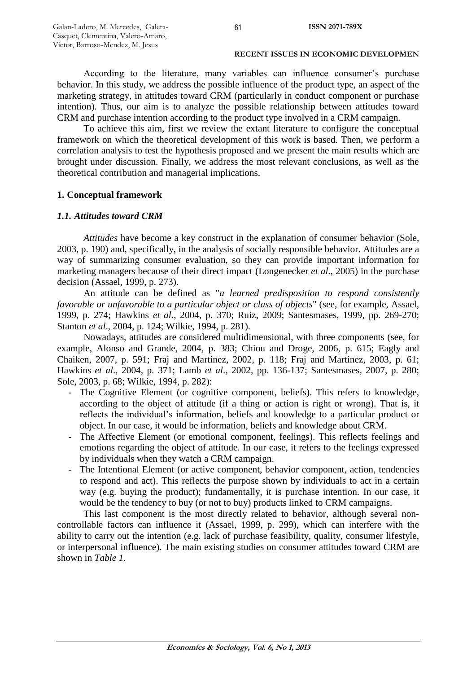According to the literature, many variables can influence consumer's purchase behavior. In this study, we address the possible influence of the product type, an aspect of the marketing strategy, in attitudes toward CRM (particularly in conduct component or purchase intention). Thus, our aim is to analyze the possible relationship between attitudes toward CRM and purchase intention according to the product type involved in a CRM campaign.

To achieve this aim, first we review the extant literature to configure the conceptual framework on which the theoretical development of this work is based. Then, we perform a correlation analysis to test the hypothesis proposed and we present the main results which are brought under discussion. Finally, we address the most relevant conclusions, as well as the theoretical contribution and managerial implications.

# **1. Conceptual framework**

## *1.1. Attitudes toward CRM*

*Attitudes* have become a key construct in the explanation of consumer behavior (Sole, 2003, p. 190) and, specifically, in the analysis of socially responsible behavior. Attitudes are a way of summarizing consumer evaluation, so they can provide important information for marketing managers because of their direct impact (Longenecker *et al*., 2005) in the purchase decision (Assael, 1999, p. 273).

An attitude can be defined as "*a learned predisposition to respond consistently favorable or unfavorable to a particular object or class of objects*" (see, for example, Assael, 1999, p. 274; Hawkins *et al*., 2004, p. 370; Ruiz, 2009; Santesmases, 1999, pp. 269-270; Stanton *et al*., 2004, p. 124; Wilkie, 1994, p. 281).

Nowadays, attitudes are considered multidimensional, with three components (see, for example, Alonso and Grande, 2004, p. 383; Chiou and Droge, 2006, p. 615; Eagly and Chaiken, 2007, p. 591; Fraj and Martinez, 2002, p. 118; Fraj and Martinez, 2003, p. 61; Hawkins *et al*., 2004, p. 371; Lamb *et al*., 2002, pp. 136-137; Santesmases, 2007, p. 280; Sole, 2003, p. 68; Wilkie, 1994, p. 282):

- The Cognitive Element (or cognitive component, beliefs). This refers to knowledge, according to the object of attitude (if a thing or action is right or wrong). That is, it reflects the individual"s information, beliefs and knowledge to a particular product or object. In our case, it would be information, beliefs and knowledge about CRM.
- The Affective Element (or emotional component, feelings). This reflects feelings and emotions regarding the object of attitude. In our case, it refers to the feelings expressed by individuals when they watch a CRM campaign.
- The Intentional Element (or active component, behavior component, action, tendencies to respond and act). This reflects the purpose shown by individuals to act in a certain way (e.g. buying the product); fundamentally, it is purchase intention. In our case, it would be the tendency to buy (or not to buy) products linked to CRM campaigns.

This last component is the most directly related to behavior, although several noncontrollable factors can influence it (Assael, 1999, p. 299), which can interfere with the ability to carry out the intention (e.g. lack of purchase feasibility, quality, consumer lifestyle, or interpersonal influence). The main existing studies on consumer attitudes toward CRM are shown in *Table 1*.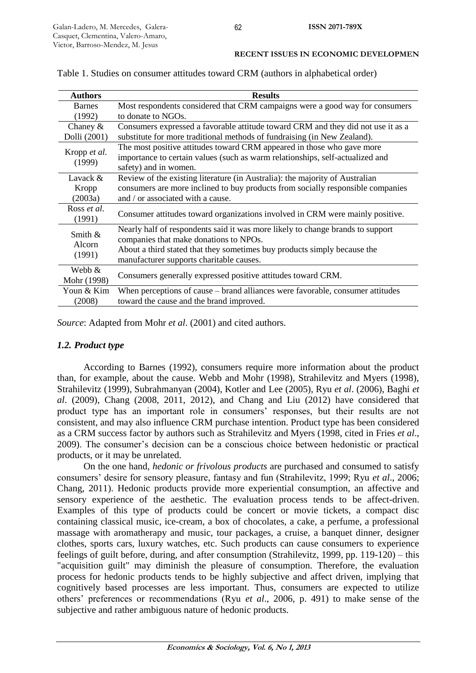|  |  |  | <b>RECENT ISSUES IN ECONOMIC DEVELOPMEN</b> |
|--|--|--|---------------------------------------------|
|--|--|--|---------------------------------------------|

| <b>Authors</b>              | <b>Results</b>                                                                   |  |  |
|-----------------------------|----------------------------------------------------------------------------------|--|--|
| Barnes                      | Most respondents considered that CRM campaigns were a good way for consumers     |  |  |
| (1992)                      | to donate to NGOs.                                                               |  |  |
| Chaney $&$                  | Consumers expressed a favorable attitude toward CRM and they did not use it as a |  |  |
| Dolli (2001)                | substitute for more traditional methods of fundraising (in New Zealand).         |  |  |
| Kropp et al.<br>(1999)      | The most positive attitudes toward CRM appeared in those who gave more           |  |  |
|                             | importance to certain values (such as warm relationships, self-actualized and    |  |  |
|                             | safety) and in women.                                                            |  |  |
| Lavack &                    | Review of the existing literature (in Australia): the majority of Australian     |  |  |
| Kropp                       | consumers are more inclined to buy products from socially responsible companies  |  |  |
| (2003a)                     | and / or associated with a cause.                                                |  |  |
| Ross et al.                 | Consumer attitudes toward organizations involved in CRM were mainly positive.    |  |  |
| (1991)                      |                                                                                  |  |  |
| Smith &<br>Alcorn<br>(1991) | Nearly half of respondents said it was more likely to change brands to support   |  |  |
|                             | companies that make donations to NPOs.                                           |  |  |
|                             | About a third stated that they sometimes buy products simply because the         |  |  |
|                             | manufacturer supports charitable causes.                                         |  |  |
| Webb &                      |                                                                                  |  |  |
| Mohr (1998)                 | Consumers generally expressed positive attitudes toward CRM.                     |  |  |
| Youn & Kim                  | When perceptions of cause – brand alliances were favorable, consumer attitudes   |  |  |
| (2008)                      | toward the cause and the brand improved.                                         |  |  |

Table 1. Studies on consumer attitudes toward CRM (authors in alphabetical order)

*Source*: Adapted from Mohr *et al*. (2001) and cited authors.

# *1.2. Product type*

According to Barnes (1992), consumers require more information about the product than, for example, about the cause. Webb and Mohr (1998), Strahilevitz and Myers (1998), Strahilevitz (1999), Subrahmanyan (2004), Kotler and Lee (2005), Ryu *et al*. (2006), Baghi *et al*. (2009), Chang (2008, 2011, 2012), and Chang and Liu (2012) have considered that product type has an important role in consumers' responses, but their results are not consistent, and may also influence CRM purchase intention. Product type has been considered as a CRM success factor by authors such as Strahilevitz and Myers (1998, cited in Fries *et al*., 2009). The consumer"s decision can be a conscious choice between hedonistic or practical products, or it may be unrelated.

On the one hand, *hedonic or frivolous products* are purchased and consumed to satisfy consumers" desire for sensory pleasure, fantasy and fun (Strahilevitz, 1999; Ryu *et al*., 2006; Chang, 2011). Hedonic products provide more experiential consumption, an affective and sensory experience of the aesthetic. The evaluation process tends to be affect-driven. Examples of this type of products could be concert or movie tickets, a compact disc containing classical music, ice-cream, a box of chocolates, a cake, a perfume, a professional massage with aromatherapy and music, tour packages, a cruise, a banquet dinner, designer clothes, sports cars, luxury watches, etc. Such products can cause consumers to experience feelings of guilt before, during, and after consumption (Strahilevitz, 1999, pp. 119-120) – this "acquisition guilt" may diminish the pleasure of consumption. Therefore, the evaluation process for hedonic products tends to be highly subjective and affect driven, implying that cognitively based processes are less important. Thus, consumers are expected to utilize others" preferences or recommendations (Ryu *et al*., 2006, p. 491) to make sense of the subjective and rather ambiguous nature of hedonic products.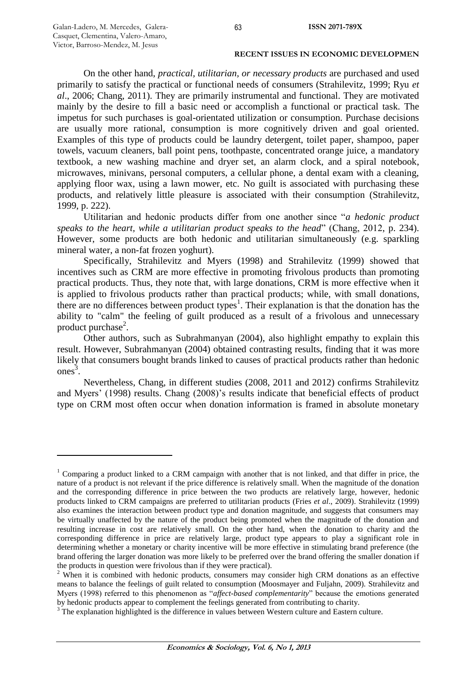$\overline{a}$ 

#### **RECENT ISSUES IN ECONOMIC DEVELOPMEN**

On the other hand, *practical, utilitarian, or necessary products* are purchased and used primarily to satisfy the practical or functional needs of consumers (Strahilevitz, 1999; Ryu *et al*., 2006; Chang, 2011). They are primarily instrumental and functional. They are motivated mainly by the desire to fill a basic need or accomplish a functional or practical task. The impetus for such purchases is goal-orientated utilization or consumption. Purchase decisions are usually more rational, consumption is more cognitively driven and goal oriented. Examples of this type of products could be laundry detergent, toilet paper, shampoo, paper towels, vacuum cleaners, ball point pens, toothpaste, concentrated orange juice, a mandatory textbook, a new washing machine and dryer set, an alarm clock, and a spiral notebook, microwaves, minivans, personal computers, a cellular phone, a dental exam with a cleaning, applying floor wax, using a lawn mower, etc. No guilt is associated with purchasing these products, and relatively little pleasure is associated with their consumption (Strahilevitz, 1999, p. 222).

Utilitarian and hedonic products differ from one another since "*a hedonic product speaks to the heart, while a utilitarian product speaks to the head*" (Chang, 2012, p. 234). However, some products are both hedonic and utilitarian simultaneously (e.g. sparkling mineral water, a non-fat frozen yoghurt).

Specifically, Strahilevitz and Myers (1998) and Strahilevitz (1999) showed that incentives such as CRM are more effective in promoting frivolous products than promoting practical products. Thus, they note that, with large donations, CRM is more effective when it is applied to frivolous products rather than practical products; while, with small donations, there are no differences between product types<sup>1</sup>. Their explanation is that the donation has the ability to "calm" the feeling of guilt produced as a result of a frivolous and unnecessary product purchase<sup>2</sup>.

Other authors, such as Subrahmanyan (2004), also highlight empathy to explain this result. However, Subrahmanyan (2004) obtained contrasting results, finding that it was more likely that consumers bought brands linked to causes of practical products rather than hedonic ones 3 .

Nevertheless, Chang, in different studies (2008, 2011 and 2012) confirms Strahilevitz and Myers' (1998) results. Chang (2008)'s results indicate that beneficial effects of product type on CRM most often occur when donation information is framed in absolute monetary

<sup>&</sup>lt;sup>1</sup> Comparing a product linked to a CRM campaign with another that is not linked, and that differ in price, the nature of a product is not relevant if the price difference is relatively small. When the magnitude of the donation and the corresponding difference in price between the two products are relatively large, however, hedonic products linked to CRM campaigns are preferred to utilitarian products (Fries *et al*., 2009). Strahilevitz (1999) also examines the interaction between product type and donation magnitude, and suggests that consumers may be virtually unaffected by the nature of the product being promoted when the magnitude of the donation and resulting increase in cost are relatively small. On the other hand, when the donation to charity and the corresponding difference in price are relatively large, product type appears to play a significant role in determining whether a monetary or charity incentive will be more effective in stimulating brand preference (the brand offering the larger donation was more likely to be preferred over the brand offering the smaller donation if the products in question were frivolous than if they were practical).

<sup>&</sup>lt;sup>2</sup> When it is combined with hedonic products, consumers may consider high CRM donations as an effective means to balance the feelings of guilt related to consumption (Moosmayer and Fuljahn, 2009). Strahilevitz and Myers (1998) referred to this phenomenon as "*affect-based complementarity*" because the emotions generated by hedonic products appear to complement the feelings generated from contributing to charity.

<sup>&</sup>lt;sup>3</sup> The explanation highlighted is the difference in values between Western culture and Eastern culture.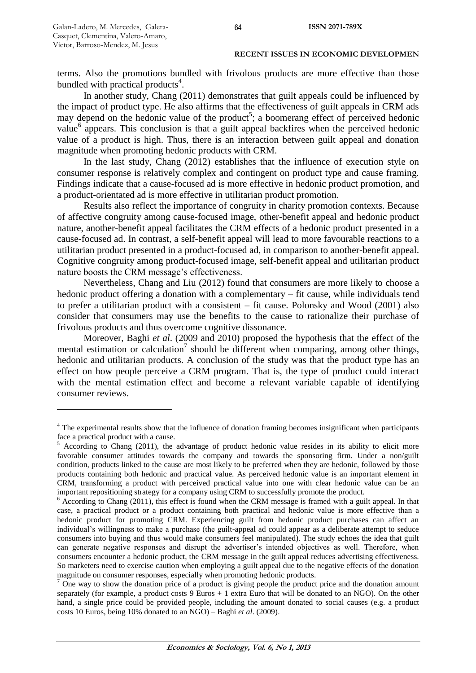$\ddot{\phantom{a}}$ 

terms. Also the promotions bundled with frivolous products are more effective than those bundled with practical products<sup>4</sup>.

In another study, Chang (2011) demonstrates that guilt appeals could be influenced by the impact of product type. He also affirms that the effectiveness of guilt appeals in CRM ads may depend on the hedonic value of the product<sup>5</sup>; a boomerang effect of perceived hedonic value<sup>6</sup> appears. This conclusion is that a guilt appeal backfires when the perceived hedonic value of a product is high. Thus, there is an interaction between guilt appeal and donation magnitude when promoting hedonic products with CRM.

In the last study, Chang (2012) establishes that the influence of execution style on consumer response is relatively complex and contingent on product type and cause framing. Findings indicate that a cause-focused ad is more effective in hedonic product promotion, and a product-orientated ad is more effective in utilitarian product promotion.

Results also reflect the importance of congruity in charity promotion contexts. Because of affective congruity among cause-focused image, other-benefit appeal and hedonic product nature, another-benefit appeal facilitates the CRM effects of a hedonic product presented in a cause-focused ad. In contrast, a self-benefit appeal will lead to more favourable reactions to a utilitarian product presented in a product-focused ad, in comparison to another-benefit appeal. Cognitive congruity among product-focused image, self-benefit appeal and utilitarian product nature boosts the CRM message's effectiveness.

Nevertheless, Chang and Liu (2012) found that consumers are more likely to choose a hedonic product offering a donation with a complementary – fit cause, while individuals tend to prefer a utilitarian product with a consistent – fit cause. Polonsky and Wood (2001) also consider that consumers may use the benefits to the cause to rationalize their purchase of frivolous products and thus overcome cognitive dissonance.

Moreover, Baghi *et al*. (2009 and 2010) proposed the hypothesis that the effect of the mental estimation or calculation<sup>7</sup> should be different when comparing, among other things, hedonic and utilitarian products. A conclusion of the study was that the product type has an effect on how people perceive a CRM program. That is, the type of product could interact with the mental estimation effect and become a relevant variable capable of identifying consumer reviews.

<sup>&</sup>lt;sup>4</sup> The experimental results show that the influence of donation framing becomes insignificant when participants face a practical product with a cause.

<sup>5</sup> According to Chang (2011), the advantage of product hedonic value resides in its ability to elicit more favorable consumer attitudes towards the company and towards the sponsoring firm. Under a non/guilt condition, products linked to the cause are most likely to be preferred when they are hedonic, followed by those products containing both hedonic and practical value. As perceived hedonic value is an important element in CRM, transforming a product with perceived practical value into one with clear hedonic value can be an important repositioning strategy for a company using CRM to successfully promote the product.

 $6$  According to Chang (2011), this effect is found when the CRM message is framed with a guilt appeal. In that case, a practical product or a product containing both practical and hedonic value is more effective than a hedonic product for promoting CRM. Experiencing guilt from hedonic product purchases can affect an individual"s willingness to make a purchase (the guilt-appeal ad could appear as a deliberate attempt to seduce consumers into buying and thus would make consumers feel manipulated). The study echoes the idea that guilt can generate negative responses and disrupt the advertiser"s intended objectives as well. Therefore, when consumers encounter a hedonic product, the CRM message in the guilt appeal reduces advertising effectiveness. So marketers need to exercise caution when employing a guilt appeal due to the negative effects of the donation magnitude on consumer responses, especially when promoting hedonic products.

 $7$  One way to show the donation price of a product is giving people the product price and the donation amount separately (for example, a product costs 9 Euros + 1 extra Euro that will be donated to an NGO). On the other hand, a single price could be provided people, including the amount donated to social causes (e.g. a product costs 10 Euros, being 10% donated to an NGO) – Baghi *et al*. (2009).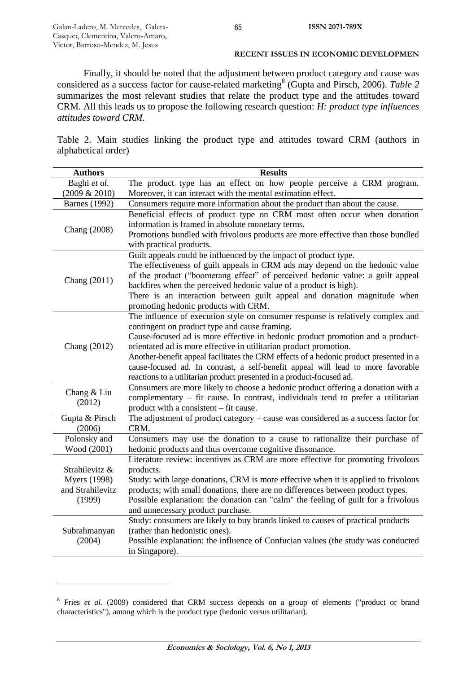$\overline{a}$ 

## **RECENT ISSUES IN ECONOMIC DEVELOPMEN**

Finally, it should be noted that the adjustment between product category and cause was considered as a success factor for cause-related marketing<sup>8</sup> (Gupta and Pirsch, 2006). *Table* 2 summarizes the most relevant studies that relate the product type and the attitudes toward CRM. All this leads us to propose the following research question: *H: product type influences attitudes toward CRM.* 

Table 2. Main studies linking the product type and attitudes toward CRM (authors in alphabetical order)

| <b>Authors</b>       | <b>Results</b>                                                                                                                              |
|----------------------|---------------------------------------------------------------------------------------------------------------------------------------------|
| Baghi et al.         | The product type has an effect on how people perceive a CRM program.                                                                        |
| (2009 & 2010)        | Moreover, it can interact with the mental estimation effect.                                                                                |
| <b>Barnes</b> (1992) | Consumers require more information about the product than about the cause.                                                                  |
|                      | Beneficial effects of product type on CRM most often occur when donation                                                                    |
| Chang (2008)         | information is framed in absolute monetary terms.                                                                                           |
|                      | Promotions bundled with frivolous products are more effective than those bundled<br>with practical products.                                |
|                      | Guilt appeals could be influenced by the impact of product type.                                                                            |
|                      | The effectiveness of guilt appeals in CRM ads may depend on the hedonic value                                                               |
|                      | of the product ("boomerang effect" of perceived hedonic value: a guilt appeal                                                               |
| Chang (2011)         | backfires when the perceived hedonic value of a product is high).                                                                           |
|                      | There is an interaction between guilt appeal and donation magnitude when                                                                    |
|                      | promoting hedonic products with CRM.                                                                                                        |
|                      | The influence of execution style on consumer response is relatively complex and                                                             |
|                      | contingent on product type and cause framing.                                                                                               |
|                      | Cause-focused ad is more effective in hedonic product promotion and a product-                                                              |
| Chang (2012)         | orientated ad is more effective in utilitarian product promotion.                                                                           |
|                      | Another-benefit appeal facilitates the CRM effects of a hedonic product presented in a                                                      |
|                      | cause-focused ad. In contrast, a self-benefit appeal will lead to more favorable                                                            |
|                      | reactions to a utilitarian product presented in a product-focused ad.                                                                       |
| Chang & Liu          | Consumers are more likely to choose a hedonic product offering a donation with a                                                            |
| (2012)               | complementary – fit cause. In contrast, individuals tend to prefer a utilitarian                                                            |
|                      | product with a consistent – fit cause.                                                                                                      |
| Gupta & Pirsch       | The adjustment of product category – cause was considered as a success factor for                                                           |
| (2006)               | CRM.                                                                                                                                        |
| Polonsky and         | Consumers may use the donation to a cause to rationalize their purchase of                                                                  |
| Wood (2001)          | hedonic products and thus overcome cognitive dissonance.<br>Literature review: incentives as CRM are more effective for promoting frivolous |
| Strahilevitz &       |                                                                                                                                             |
| <b>Myers</b> (1998)  | products.<br>Study: with large donations, CRM is more effective when it is applied to frivolous                                             |
| and Strahilevitz     | products; with small donations, there are no differences between product types.                                                             |
| (1999)               | Possible explanation: the donation can "calm" the feeling of guilt for a frivolous                                                          |
|                      | and unnecessary product purchase.                                                                                                           |
|                      | Study: consumers are likely to buy brands linked to causes of practical products                                                            |
| Subrahmanyan         | (rather than hedonistic ones).                                                                                                              |
| (2004)               | Possible explanation: the influence of Confucian values (the study was conducted                                                            |
|                      | in Singapore).                                                                                                                              |
|                      |                                                                                                                                             |

<sup>&</sup>lt;sup>8</sup> Fries *et al.* (2009) considered that CRM success depends on a group of elements ("product or brand characteristics"), among which is the product type (hedonic versus utilitarian).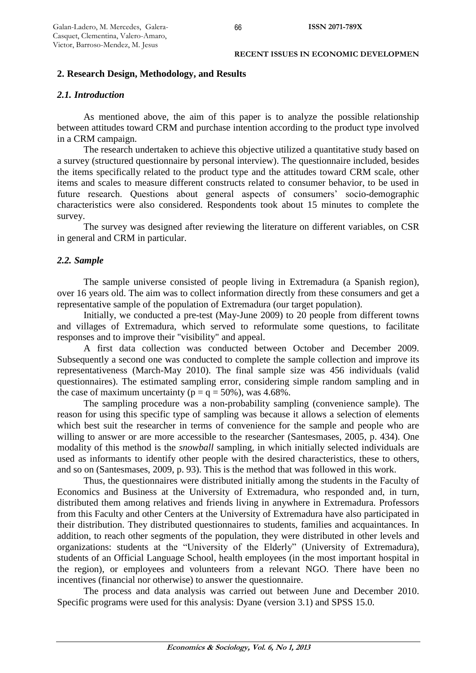# **2. Research Design, Methodology, and Results**

## *2.1. Introduction*

As mentioned above, the aim of this paper is to analyze the possible relationship between attitudes toward CRM and purchase intention according to the product type involved in a CRM campaign.

The research undertaken to achieve this objective utilized a quantitative study based on a survey (structured questionnaire by personal interview). The questionnaire included, besides the items specifically related to the product type and the attitudes toward CRM scale, other items and scales to measure different constructs related to consumer behavior, to be used in future research. Questions about general aspects of consumers' socio-demographic characteristics were also considered. Respondents took about 15 minutes to complete the survey.

The survey was designed after reviewing the literature on different variables, on CSR in general and CRM in particular.

# *2.2. Sample*

The sample universe consisted of people living in Extremadura (a Spanish region), over 16 years old. The aim was to collect information directly from these consumers and get a representative sample of the population of Extremadura (our target population).

Initially, we conducted a pre-test (May-June 2009) to 20 people from different towns and villages of Extremadura, which served to reformulate some questions, to facilitate responses and to improve their "visibility" and appeal.

A first data collection was conducted between October and December 2009. Subsequently a second one was conducted to complete the sample collection and improve its representativeness (March-May 2010). The final sample size was 456 individuals (valid questionnaires). The estimated sampling error, considering simple random sampling and in the case of maximum uncertainty ( $p = q = 50\%$ ), was 4.68%.

The sampling procedure was a non-probability sampling (convenience sample). The reason for using this specific type of sampling was because it allows a selection of elements which best suit the researcher in terms of convenience for the sample and people who are willing to answer or are more accessible to the researcher (Santesmases, 2005, p. 434). One modality of this method is the *snowball* sampling, in which initially selected individuals are used as informants to identify other people with the desired characteristics, these to others, and so on (Santesmases, 2009, p. 93). This is the method that was followed in this work.

Thus, the questionnaires were distributed initially among the students in the Faculty of Economics and Business at the University of Extremadura, who responded and, in turn, distributed them among relatives and friends living in anywhere in Extremadura. Professors from this Faculty and other Centers at the University of Extremadura have also participated in their distribution. They distributed questionnaires to students, families and acquaintances. In addition, to reach other segments of the population, they were distributed in other levels and organizations: students at the "University of the Elderly" (University of Extremadura), students of an Official Language School, health employees (in the most important hospital in the region), or employees and volunteers from a relevant NGO. There have been no incentives (financial nor otherwise) to answer the questionnaire.

The process and data analysis was carried out between June and December 2010. Specific programs were used for this analysis: Dyane (version 3.1) and SPSS 15.0.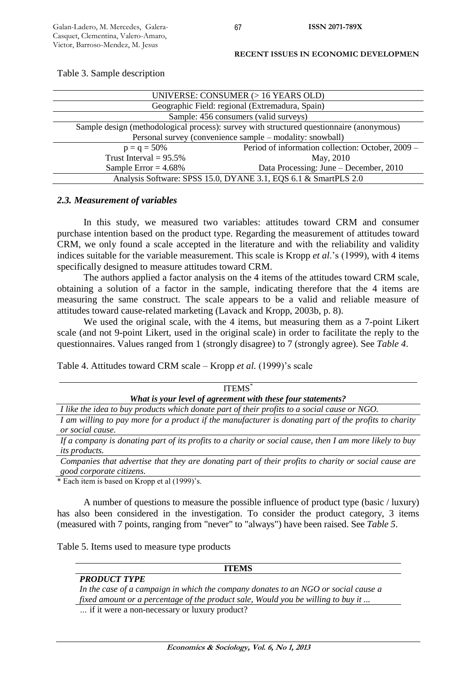| UNIVERSE: CONSUMER (> 16 YEARS OLD)                                                      |                                                   |  |  |
|------------------------------------------------------------------------------------------|---------------------------------------------------|--|--|
| Geographic Field: regional (Extremadura, Spain)                                          |                                                   |  |  |
| Sample: 456 consumers (valid surveys)                                                    |                                                   |  |  |
| Sample design (methodological process): survey with structured questionnaire (anonymous) |                                                   |  |  |
| Personal survey (convenience sample – modality: snowball)                                |                                                   |  |  |
| $p = q = 50\%$                                                                           | Period of information collection: October, 2009 – |  |  |
| Trust Interval = $95.5\%$                                                                | May, 2010                                         |  |  |
| Sample Error = $4.68\%$                                                                  | Data Processing: June – December, 2010            |  |  |
| Analysis Software: SPSS 15.0, DYANE 3.1, EQS 6.1 & SmartPLS 2.0                          |                                                   |  |  |

#### Table 3. Sample description

## *2.3. Measurement of variables*

In this study, we measured two variables: attitudes toward CRM and consumer purchase intention based on the product type. Regarding the measurement of attitudes toward CRM, we only found a scale accepted in the literature and with the reliability and validity indices suitable for the variable measurement. This scale is Kropp *et al*."s (1999), with 4 items specifically designed to measure attitudes toward CRM.

The authors applied a factor analysis on the 4 items of the attitudes toward CRM scale. obtaining a solution of a factor in the sample, indicating therefore that the 4 items are measuring the same construct. The scale appears to be a valid and reliable measure of attitudes toward cause-related marketing (Lavack and Kropp, 2003b, p. 8).

We used the original scale, with the 4 items, but measuring them as a 7-point Likert scale (and not 9-point Likert, used in the original scale) in order to facilitate the reply to the questionnaires. Values ranged from 1 (strongly disagree) to 7 (strongly agree). See *Table 4*.

Table 4. Attitudes toward CRM scale – Kropp *et al.* (1999)"s scale

| <b>ITEMS</b> <sup>*</sup>                                                                               |  |  |
|---------------------------------------------------------------------------------------------------------|--|--|
| What is your level of agreement with these four statements?                                             |  |  |
| I like the idea to buy products which donate part of their profits to a social cause or NGO.            |  |  |
| I am willing to pay more for a product if the manufacturer is donating part of the profits to charity   |  |  |
| or social cause.                                                                                        |  |  |
| If a company is donating part of its profits to a charity or social cause, then I am more likely to buy |  |  |
| <i>its products.</i>                                                                                    |  |  |

*Companies that advertise that they are donating part of their profits to charity or social cause are good corporate citizens.*

\* Each item is based on Kropp et al (1999)"s.

*PRODUCT TYPE*

A number of questions to measure the possible influence of product type (basic / luxury) has also been considered in the investigation. To consider the product category, 3 items (measured with 7 points, ranging from "never" to "always") have been raised. See *Table 5*.

Table 5. Items used to measure type products

#### **ITEMS**

*In the case of a campaign in which the company donates to an NGO or social cause a fixed amount or a percentage of the product sale, Would you be willing to buy it ...*

*…* if it were a non-necessary or luxury product?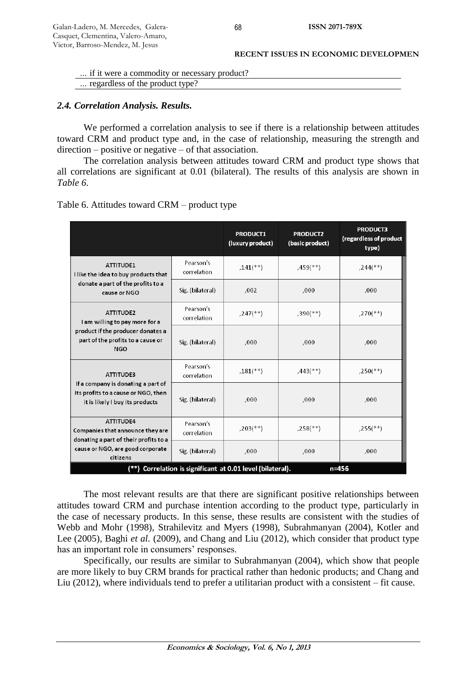| <b>RECENT ISSUES IN ECONOMIC DEVELOPMEN</b> |
|---------------------------------------------|
|---------------------------------------------|

| if it were a commodity or necessary product? |  |
|----------------------------------------------|--|
| regardless of the product type?              |  |

# *2.4. Correlation Analysis. Results.*

We performed a correlation analysis to see if there is a relationship between attitudes toward CRM and product type and, in the case of relationship, measuring the strength and direction – positive or negative – of that association.

The correlation analysis between attitudes toward CRM and product type shows that all correlations are significant at 0.01 (bilateral). The results of this analysis are shown in *Table 6*.

| Table 6. Attitudes toward CRM – product type |  |
|----------------------------------------------|--|
|----------------------------------------------|--|

|                                                                                                                                               |                          | <b>PRODUCT1</b><br>(luxury product) | <b>PRODUCT2</b><br>(basic product) | <b>PRODUCT3</b><br>(regardless of product<br>type) |
|-----------------------------------------------------------------------------------------------------------------------------------------------|--------------------------|-------------------------------------|------------------------------------|----------------------------------------------------|
| <b>ATTITUDE1</b><br>I like the idea to buy products that                                                                                      | Pearson's<br>correlation | $.141$ <sup>**</sup> )              | $,459$ <sup>**</sup> )             | $,244$ <sup>**</sup> )                             |
| donate a part of the profits to a<br>cause or NGO                                                                                             | Sig. (bilateral)         | ,002                                | .000                               | ,000                                               |
| ATTITUDE2<br>I am willing to pay more for a                                                                                                   | Pearson's<br>correlation | $,247$ <sup>(**)</sup> )            | $,390$ <sup>(**)</sup>             | $,270$ (**)                                        |
| product if the producer donates a<br>part of the profits to a cause or<br><b>NGO</b>                                                          | Sig. (bilateral)         | ,000                                | ,000                               | ,000                                               |
| <b>ATTITUDE3</b>                                                                                                                              | Pearson's<br>correlation | $.181$ <sup>**</sup> )              | $,443$ <sup>**</sup> )             | $.250$ <sup>(**)</sup> )                           |
| If a company is donating a part of<br>its profits to a cause or NGO, then<br>it is likely I buy its products                                  | Sig. (bilateral)         | ,000                                | ,000                               | ,000                                               |
| <b>ATTITUDE4</b><br>Companies that announce they are<br>donating a part of their profits to a<br>cause or NGO, are good corporate<br>citizens | Pearson's<br>correlation | $,203$ <sup>**</sup> )              | $.258$ <sup>(**)</sup> )           | $,255$ (**)                                        |
|                                                                                                                                               | Sig. (bilateral)         | ,000                                | ,000                               | ,000                                               |
| (**) Correlation is significant at 0.01 level (bilateral).<br>$n = 456$                                                                       |                          |                                     |                                    |                                                    |

The most relevant results are that there are significant positive relationships between attitudes toward CRM and purchase intention according to the product type, particularly in the case of necessary products. In this sense, these results are consistent with the studies of Webb and Mohr (1998), Strahilevitz and Myers (1998), Subrahmanyan (2004), Kotler and Lee (2005), Baghi *et al.* (2009), and Chang and Liu (2012), which consider that product type has an important role in consumers' responses.

Specifically, our results are similar to Subrahmanyan (2004), which show that people are more likely to buy CRM brands for practical rather than hedonic products; and Chang and Liu (2012), where individuals tend to prefer a utilitarian product with a consistent – fit cause.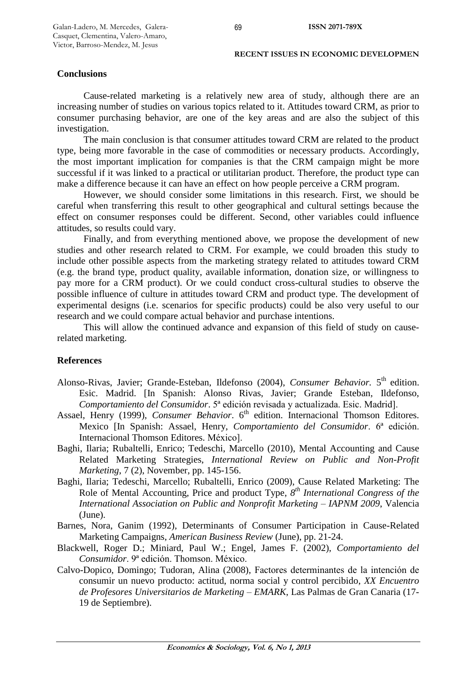## **Conclusions**

Cause-related marketing is a relatively new area of study, although there are an increasing number of studies on various topics related to it. Attitudes toward CRM, as prior to consumer purchasing behavior, are one of the key areas and are also the subject of this investigation.

The main conclusion is that consumer attitudes toward CRM are related to the product type, being more favorable in the case of commodities or necessary products. Accordingly, the most important implication for companies is that the CRM campaign might be more successful if it was linked to a practical or utilitarian product. Therefore, the product type can make a difference because it can have an effect on how people perceive a CRM program.

However, we should consider some limitations in this research. First, we should be careful when transferring this result to other geographical and cultural settings because the effect on consumer responses could be different. Second, other variables could influence attitudes, so results could vary.

Finally, and from everything mentioned above, we propose the development of new studies and other research related to CRM. For example, we could broaden this study to include other possible aspects from the marketing strategy related to attitudes toward CRM (e.g. the brand type, product quality, available information, donation size, or willingness to pay more for a CRM product). Or we could conduct cross-cultural studies to observe the possible influence of culture in attitudes toward CRM and product type. The development of experimental designs (i.e. scenarios for specific products) could be also very useful to our research and we could compare actual behavior and purchase intentions.

This will allow the continued advance and expansion of this field of study on causerelated marketing.

## **References**

- Alonso-Rivas, Javier; Grande-Esteban, Ildefonso (2004), *Consumer Behavior*. 5<sup>th</sup> edition. Esic. Madrid. [In Spanish: Alonso Rivas, Javier; Grande Esteban, Ildefonso, *Comportamiento del Consumidor*. 5ª edición revisada y actualizada. Esic. Madrid].
- Assael, Henry (1999), *Consumer Behavior*. 6<sup>th</sup> edition. Internacional Thomson Editores. Mexico [In Spanish: Assael, Henry, *Comportamiento del Consumidor*. 6ª edición. Internacional Thomson Editores. México].
- Baghi, Ilaria; Rubaltelli, Enrico; Tedeschi, Marcello (2010), Mental Accounting and Cause Related Marketing Strategies, *International Review on Public and Non-Profit Marketing*, 7 (2), November, pp. 145-156.
- Baghi, Ilaria; Tedeschi, Marcello; Rubaltelli, Enrico (2009), Cause Related Marketing: The Role of Mental Accounting, Price and product Type,  $8^{th}$  *International Congress of the International Association on Public and Nonprofit Marketing – IAPNM 2009*, Valencia (June).
- Barnes, Nora, Ganim (1992), Determinants of Consumer Participation in Cause-Related Marketing Campaigns, *American Business Review* (June), pp. 21-24.
- Blackwell, Roger D.; Miniard, Paul W.; Engel, James F. (2002), *Comportamiento del Consumidor*. 9ª edición. Thomson. México.
- Calvo-Dopico, Domingo; Tudoran, Alina (2008), Factores determinantes de la intención de consumir un nuevo producto: actitud, norma social y control percibido, *XX Encuentro de Profesores Universitarios de Marketing – EMARK*, Las Palmas de Gran Canaria (17- 19 de Septiembre).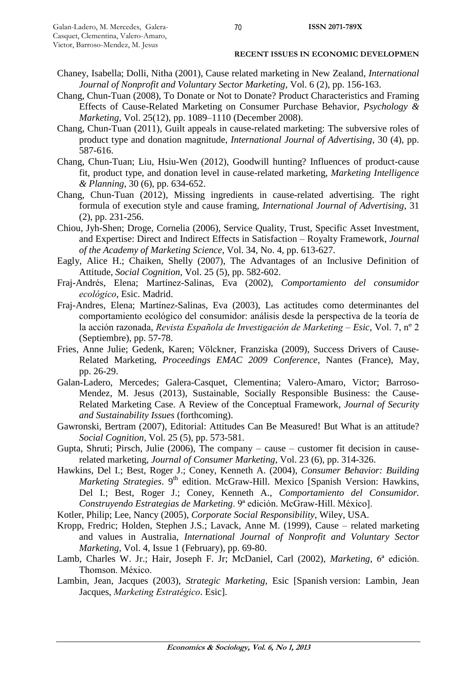- Chaney, Isabella; Dolli, Nitha (2001), Cause related marketing in New Zealand, *International Journal of Nonprofit and Voluntary Sector Marketing*, Vol. 6 (2), pp. 156-163.
- Chang, Chun-Tuan (2008), To Donate or Not to Donate? Product Characteristics and Framing Effects of Cause-Related Marketing on Consumer Purchase Behavior, *Psychology & Marketing*, Vol. 25(12), pp. 1089–1110 (December 2008).
- Chang, Chun-Tuan (2011), Guilt appeals in cause-related marketing: The subversive roles of product type and donation magnitude, *International Journal of Advertising*, 30 (4), pp. 587-616.
- Chang, Chun-Tuan; Liu, Hsiu-Wen (2012), Goodwill hunting? Influences of product-cause fit, product type, and donation level in cause-related marketing, *Marketing Intelligence & Planning*, 30 (6), pp. 634-652.
- Chang, Chun-Tuan (2012), Missing ingredients in cause-related advertising. The right formula of execution style and cause framing, *International Journal of Advertising*, 31 (2), pp. 231-256.
- Chiou, Jyh-Shen; Droge, Cornelia (2006), Service Quality, Trust, Specific Asset Investment, and Expertise: Direct and Indirect Effects in Satisfaction – Royalty Framework, *Journal of the Academy of Marketing Science*, Vol. 34, No. 4, pp. 613-627.
- Eagly, Alice H.; Chaiken, Shelly (2007), The Advantages of an Inclusive Definition of Attitude, *Social Cognition*, Vol. 25 (5), pp. 582-602.
- Fraj-Andrés, Elena; Martínez-Salinas, Eva (2002), *Comportamiento del consumidor ecológico*, Esic. Madrid.
- Fraj-Andres, Elena; Martínez-Salinas, Eva (2003), Las actitudes como determinantes del comportamiento ecológico del consumidor: análisis desde la perspectiva de la teoría de la acción razonada, *Revista Española de Investigación de Marketing – Esic*, Vol. 7, nº 2 (Septiembre), pp. 57-78.
- Fries, Anne Julie; Gedenk, Karen; Völckner, Franziska (2009), Success Drivers of Cause-Related Marketing, *Proceedings EMAC 2009 Conference*, Nantes (France), May, pp. 26-29.
- Galan-Ladero, Mercedes; Galera-Casquet, Clementina; Valero-Amaro, Victor; Barroso-Mendez, M. Jesus (2013), Sustainable, Socially Responsible Business: the Cause-Related Marketing Case. A Review of the Conceptual Framework, *Journal of Security and Sustainability Issues* (forthcoming).
- Gawronski, Bertram (2007), Editorial: Attitudes Can Be Measured! But What is an attitude? *Social Cognition*, Vol. 25 (5), pp. 573-581.
- Gupta, Shruti; Pirsch, Julie (2006), The company cause customer fit decision in causerelated marketing, *Journal of Consumer Marketing*, Vol. 23 (6), pp. 314-326.
- Hawkins, Del I.; Best, Roger J.; Coney, Kenneth A. (2004), *Consumer Behavior: Building*  Marketing Strategies. 9<sup>th</sup> edition. McGraw-Hill. Mexico [Spanish Version: Hawkins, Del I.; Best, Roger J.; Coney, Kenneth A., *Comportamiento del Consumidor. Construyendo Estrategias de Marketing*. 9ª edición. McGraw-Hill. México].
- Kotler, Philip; Lee, Nancy (2005), *Corporate Social Responsibility*, Wiley, USA.
- Kropp, Fredric; Holden, Stephen J.S.; Lavack, Anne M. (1999), Cause related marketing and values in Australia, *International Journal of Nonprofit and Voluntary Sector Marketing*, Vol. 4, Issue 1 (February), pp. 69-80.
- Lamb, Charles W. Jr.; Hair, Joseph F. Jr; McDaniel, Carl (2002), *Marketing*, 6ª edición. Thomson. México.
- Lambin, Jean, Jacques (2003), *Strategic Marketing*, Esic [Spanish version: Lambin, Jean Jacques, *Marketing Estratégico*. Esic].